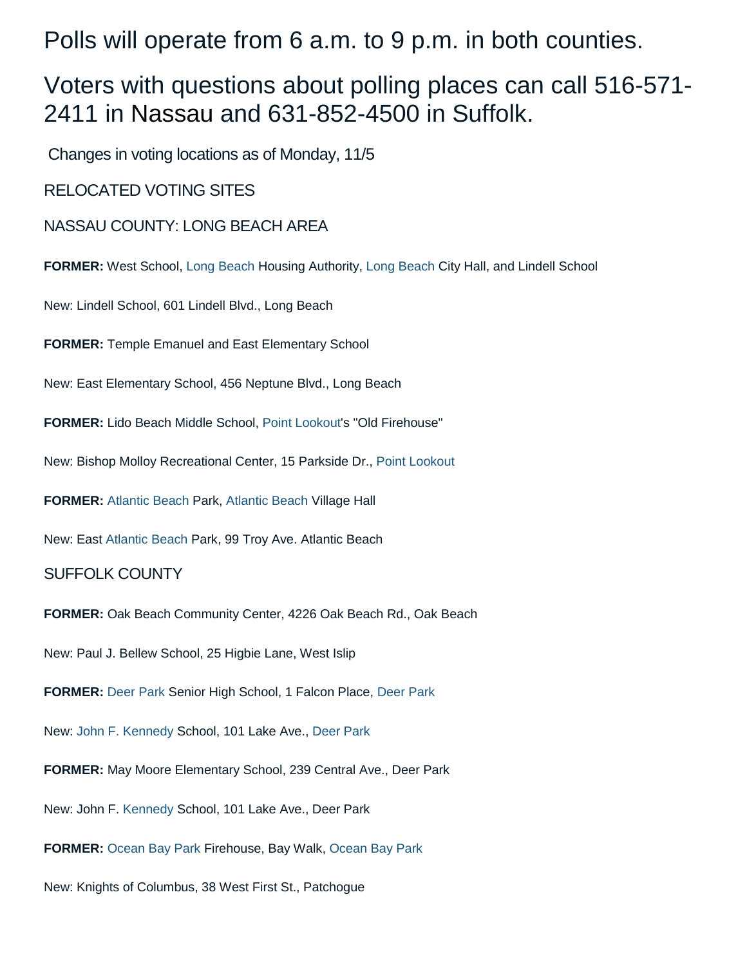Polls will operate from 6 a.m. to 9 p.m. in both counties.

# Voters with questions about polling places can call 516-571- 2411 in [Nassau](https://www.newsday.com/topics/Nassau_County,_NY) and 631-852-4500 in Suffolk.

Changes in voting locations as of Monday, 11/5

RELOCATED VOTING SITES

[NASSAU](https://www.newsday.com/topics/Nassau_County,_NY) COUNTY: [LONG BEACH](https://www.newsday.com/topics/Long_Beach,_NY) AREA

**FORMER:** West School, [Long Beach](https://www.newsday.com/topics/Long_Beach,_NY) Housing Authority, [Long Beach](https://www.newsday.com/topics/Long_Beach,_NY) City Hall, and Lindell School

New: Lindell School, 601 Lindell Blvd., Long Beach

**FORMER:** Temple Emanuel and East Elementary School

New: East Elementary School, 456 Neptune Blvd., Long Beach

**FORMER:** Lido Beach Middle School, [Point Lookout's](https://www.newsday.com/topics/Point_Lookout,_NY) "Old Firehouse"

New: Bishop Molloy Recreational Center, 15 Parkside Dr., [Point Lookout](https://www.newsday.com/topics/Point_Lookout,_NY)

**FORMER:** [Atlantic Beach](https://www.newsday.com/topics/Atlantic_Beach,_NY) Park, [Atlantic Beach](https://www.newsday.com/topics/Atlantic_Beach,_NY) Village Hall

New: East [Atlantic Beach](https://www.newsday.com/topics/Atlantic_Beach,_NY) Park, 99 Troy Ave. Atlantic Beach

### [SUFFOLK](https://www.newsday.com/topics/Suffolk_County,_NY) COUNTY

**FORMER:** Oak Beach Community Center, 4226 Oak Beach Rd., Oak Beach

New: Paul J. Bellew School, 25 Higbie Lane, West Islip

**FORMER:** [Deer Park](https://www.newsday.com/topics/Deer_Park,_NY) Senior High School, 1 Falcon Place, [Deer Park](https://www.newsday.com/topics/Deer_Park,_NY)

New: [John F. Kennedy](https://www.newsday.com/topics/John_F._Kennedy) School, 101 Lake Ave., [Deer Park](https://www.newsday.com/topics/Deer_Park,_NY)

**FORMER:** May Moore Elementary School, 239 Central Ave., Deer Park

New: John F. [Kennedy](https://www.newsday.com/topics/John_F._Kennedy) School, 101 Lake Ave., Deer Park

**FORMER:** [Ocean Bay Park](https://www.newsday.com/topics/Ocean_Bay_Park,_NY) Firehouse, Bay Walk, [Ocean Bay Park](https://www.newsday.com/topics/Ocean_Bay_Park,_NY)

New: Knights of Columbus, 38 West First St., Patchogue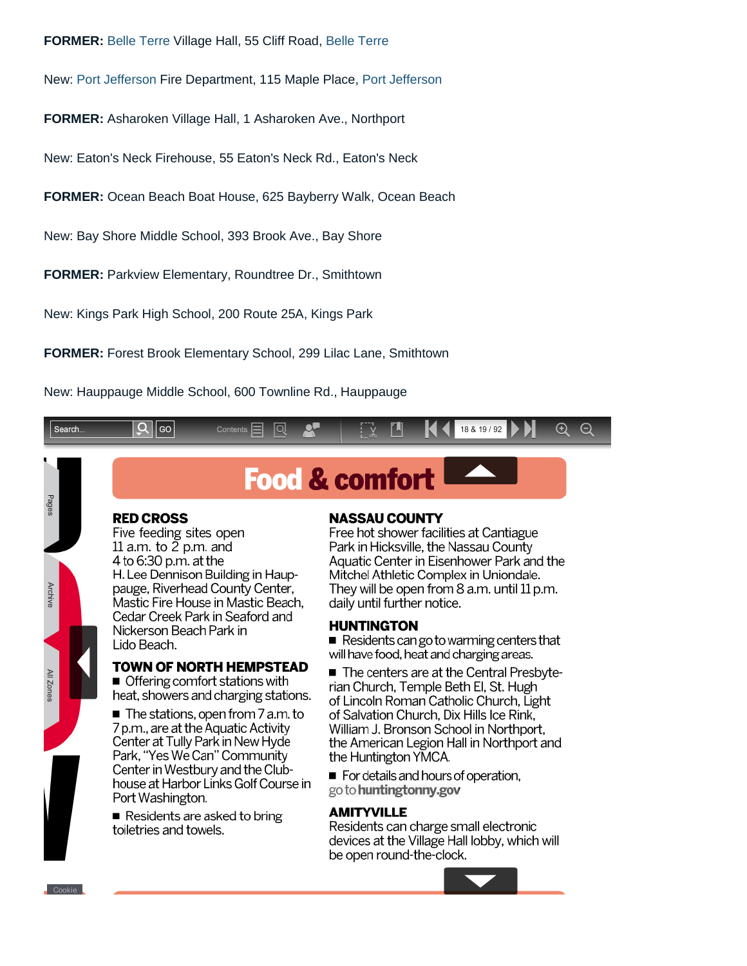#### **FORMER:** [Belle Terre](https://www.newsday.com/topics/Belle_Terre,_NY) Village Hall, 55 Cliff Road, [Belle Terre](https://www.newsday.com/topics/Belle_Terre,_NY)

New: [Port Jefferson](https://www.newsday.com/topics/Port_Jefferson,_NY) Fire Department, 115 Maple Place, [Port Jefferson](https://www.newsday.com/topics/Port_Jefferson,_NY)

**FORMER:** Asharoken Village Hall, 1 Asharoken Ave., Northport

New: Eaton's Neck Firehouse, 55 Eaton's Neck Rd., Eaton's Neck

**FORMER:** Ocean Beach Boat House, 625 Bayberry Walk, Ocean Beach

New: Bay Shore Middle School, 393 Brook Ave., Bay Shore

**FORMER:** Parkview Elementary, Roundtree Dr., Smithtown

New: Kings Park High School, 200 Route 25A, Kings Park

**RED CROSS** 

Lido Beach.

Port Washington.

toiletries and towels.

Five feeding sites open 11 a.m. to  $\overline{2}$  p.m. and

Nickerson Beach Park in

H. Lee Dennison Building in Haup-

pauge, Riverhead County Center,

Cedar Creek Park in Seaford and

Mastic Fire House in Mastic Beach.

**TOWN OF NORTH HEMPSTEAD** 

heat, showers and charging stations.

The stations, open from 7 a.m. to

■ Offering comfort stations with

7 p.m., are at the Aquatic Activity

Center at Tully Park in New Hyde

Park, "Yes We Can" Community

Center in Westbury and the Club-

Residents are asked to bring

house at Harbor Links Golf Course in

4 to 6:30 p.m. at the

**FORMER:** Forest Brook Elementary School, 299 Lilac Lane, Smithtown

New: Hauppauge Middle School, 600 Townline Rd., Hauppauge



**Food & comfort** 

# **NASSAU COUNTY**

Free hot shower facilities at Cantiague Park in Hicksville, the Nassau County Aquatic Center in Eisenhower Park and the Mitchel Athletic Complex in Uniondale. They will be open from 8 a.m. until 11 p.m. daily until further notice.

#### **HUNTINGTON**

Residents can go to warming centers that will have food, heat and charging areas.

The centers are at the Central Presbyterian Church, Temple Beth El, St. Hugh of Lincoln Roman Catholic Church, Light of Salvation Church. Dix Hills Ice Rink. William J. Bronson School in Northport, the American Legion Hall in Northport and the Huntington YMCA.

For details and hours of operation, go to huntingtonny.gov

# **AMITYVILLE**

Residents can charge small electronic devices at the Village Hall lobby, which will be open round-the-clock.



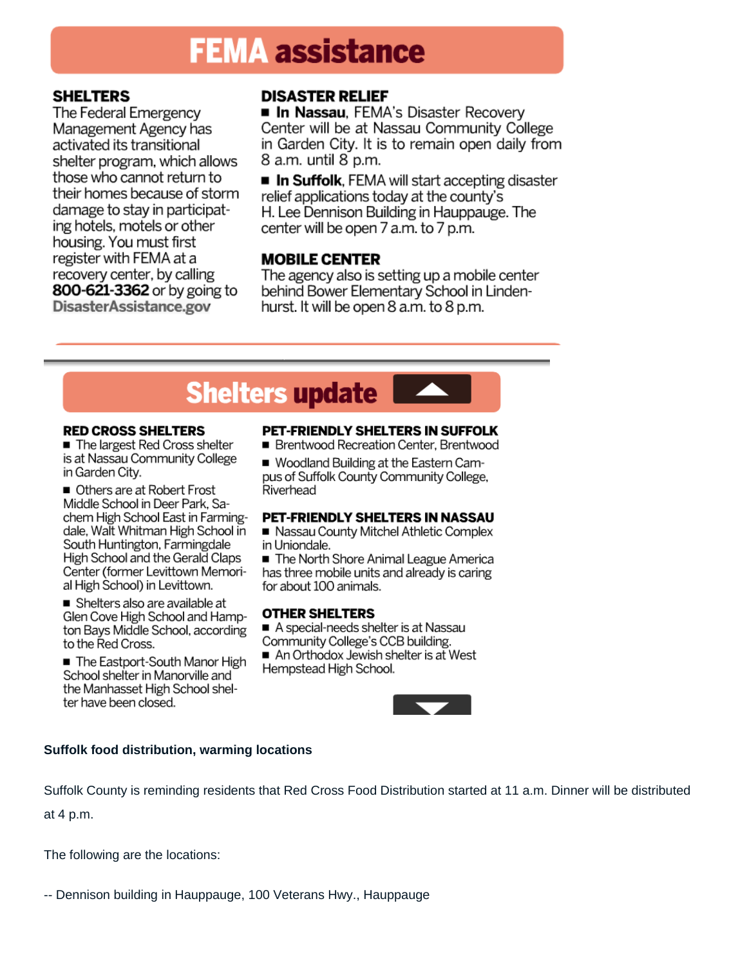# **FEMA assistance**

# **SHELTERS**

The Federal Emergency Management Agency has activated its transitional shelter program, which allows those who cannot return to their homes because of storm damage to stay in participating hotels, motels or other housing. You must first register with FEMA at a recovery center, by calling 800-621-3362 or by going to DisasterAssistance.gov

# **DISASTER RELIEF**

**In Nassau**, FEMA's Disaster Recovery Center will be at Nassau Community College in Garden City. It is to remain open daily from 8 a.m. until 8 p.m.

**In Suffolk**, FEMA will start accepting disaster relief applications today at the county's H. Lee Dennison Building in Hauppauge. The center will be open 7 a.m. to 7 p.m.

# **MOBILE CENTER**

The agency also is setting up a mobile center behind Bower Elementary School in Lindenhurst. It will be open 8 a.m. to 8 p.m.

# **Shelters update**

#### **RED CROSS SHELTERS**

The largest Red Cross shelter is at Nassau Community College in Garden City.

Others are at Robert Frost Middle School in Deer Park, Sachem High School East in Farmingdale, Walt Whitman High School in South Huntington, Farmingdale High School and the Gerald Claps Center (former Levittown Memorial High School) in Levittown.

Shelters also are available at Glen Cove High School and Hampton Bays Middle School, according to the Red Cross.

The Eastport-South Manor High School shelter in Manorville and the Manhasset High School shelter have been closed.

# PET-FRIENDLY SHELTERS IN SUFFOLK

■ Brentwood Recreation Center, Brentwood

■ Woodland Building at the Eastern Campus of Suffolk County Community College, Riverhead

### PET-FRIENDLY SHELTERS IN NASSAU

Nassau County Mitchel Athletic Complex in Uniondale.

The North Shore Animal League America has three mobile units and already is caring for about 100 animals.

### **OTHER SHELTERS**

A special-needs shelter is at Nassau

Community College's CCB building.

An Orthodox Jewish shelter is at West Hempstead High School.



# **Suffolk food distribution, warming locations**

Suffolk County is reminding residents that Red Cross Food Distribution started at 11 a.m. Dinner will be distributed at 4 p.m.

The following are the locations:

-- Dennison building in Hauppauge, 100 Veterans Hwy., Hauppauge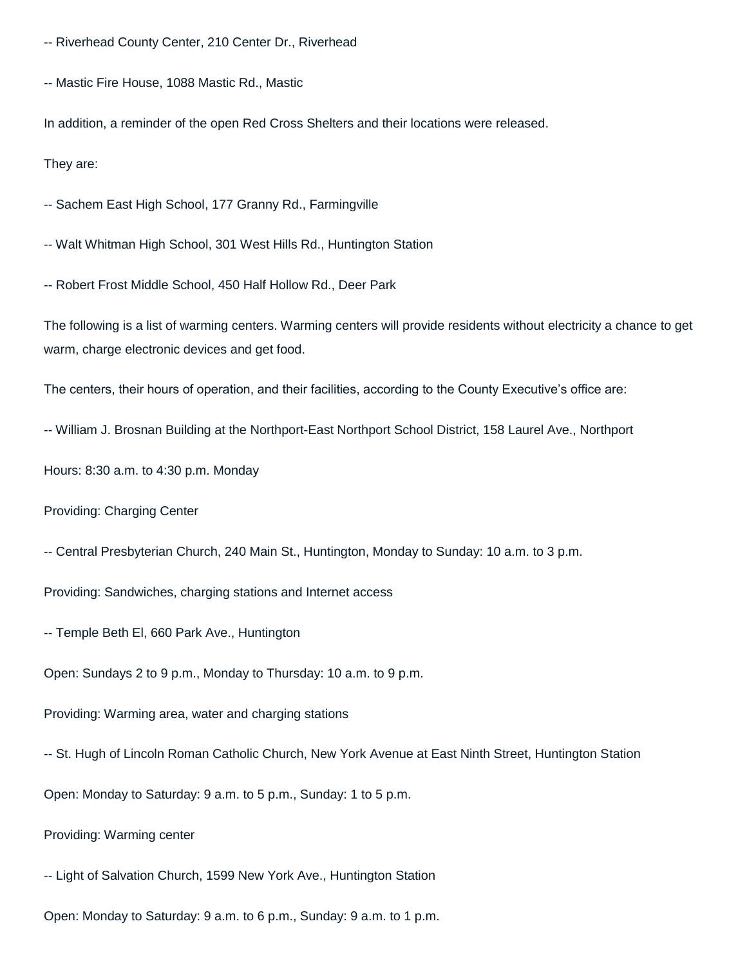-- Riverhead County Center, 210 Center Dr., Riverhead

-- Mastic Fire House, 1088 Mastic Rd., Mastic

In addition, a reminder of the open Red Cross Shelters and their locations were released.

They are:

-- Sachem East High School, 177 Granny Rd., Farmingville

-- Walt Whitman High School, 301 West Hills Rd., Huntington Station

-- Robert Frost Middle School, 450 Half Hollow Rd., Deer Park

The following is a list of warming centers. Warming centers will provide residents without electricity a chance to get warm, charge electronic devices and get food.

The centers, their hours of operation, and their facilities, according to the County Executive's office are:

-- William J. Brosnan Building at the Northport-East Northport School District, 158 Laurel Ave., Northport

Hours: 8:30 a.m. to 4:30 p.m. Monday

Providing: Charging Center

-- Central Presbyterian Church, 240 Main St., Huntington, Monday to Sunday: 10 a.m. to 3 p.m.

Providing: Sandwiches, charging stations and Internet access

-- Temple Beth El, 660 Park Ave., Huntington

Open: Sundays 2 to 9 p.m., Monday to Thursday: 10 a.m. to 9 p.m.

Providing: Warming area, water and charging stations

-- St. Hugh of Lincoln Roman Catholic Church, New York Avenue at East Ninth Street, Huntington Station

Open: Monday to Saturday: 9 a.m. to 5 p.m., Sunday: 1 to 5 p.m.

Providing: Warming center

-- Light of Salvation Church, 1599 New York Ave., Huntington Station

Open: Monday to Saturday: 9 a.m. to 6 p.m., Sunday: 9 a.m. to 1 p.m.